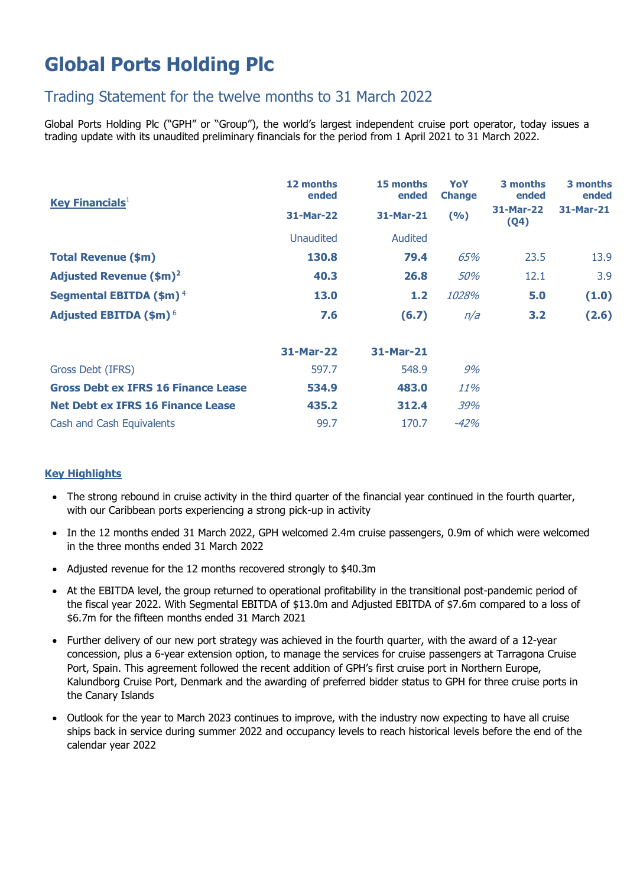# **Global Ports Holding Plc**

## Trading Statement for the twelve months to 31 March 2022

Global Ports Holding Plc ("GPH" or "Group"), the world's largest independent cruise port operator, today issues a trading update with its unaudited preliminary financials for the period from 1 April 2021 to 31 March 2022.

| <b>Key Financials</b> <sup>1</sup>         | 12 months<br>ended | 15 months<br>ended | YoY<br><b>Change</b> | 3 months<br>ended | 3 months<br>ended |
|--------------------------------------------|--------------------|--------------------|----------------------|-------------------|-------------------|
|                                            | 31-Mar-22          | 31-Mar-21          | (9/6)                | 31-Mar-22<br>(Q4) | 31-Mar-21         |
|                                            | <b>Unaudited</b>   | <b>Audited</b>     |                      |                   |                   |
| <b>Total Revenue (\$m)</b>                 | 130.8              | 79.4               | 65%                  | 23.5              | 13.9              |
| <b>Adjusted Revenue (\$m)<sup>2</sup></b>  | 40.3               | 26.8               | 50%                  | 12.1              | 3.9               |
| Segmental EBITDA $(\$m)^4$                 | 13.0               | $1.2$              | <i>1028%</i>         | 5.0               | (1.0)             |
| Adjusted EBITDA $(\$m)^6$                  | 7.6                | (6.7)              | n/a                  | 3.2               | (2.6)             |
|                                            | 31-Mar-22          | 31-Mar-21          |                      |                   |                   |
| Gross Debt (IFRS)                          | 597.7              | 548.9              | 9%                   |                   |                   |
| <b>Gross Debt ex IFRS 16 Finance Lease</b> | 534.9              | 483.0              | 11%                  |                   |                   |
| <b>Net Debt ex IFRS 16 Finance Lease</b>   | 435.2              | 312.4              | 39%                  |                   |                   |
| Cash and Cash Equivalents                  | 99.7               | 170.7              | $-42%$               |                   |                   |

### **Key Highlights**

- The strong rebound in cruise activity in the third quarter of the financial year continued in the fourth quarter, with our Caribbean ports experiencing a strong pick-up in activity
- In the 12 months ended 31 March 2022, GPH welcomed 2.4m cruise passengers, 0.9m of which were welcomed in the three months ended 31 March 2022
- Adjusted revenue for the 12 months recovered strongly to \$40.3m
- At the EBITDA level, the group returned to operational profitability in the transitional post-pandemic period of the fiscal year 2022. With Segmental EBITDA of \$13.0m and Adjusted EBITDA of \$7.6m compared to a loss of \$6.7m for the fifteen months ended 31 March 2021
- Further delivery of our new port strategy was achieved in the fourth quarter, with the award of a 12-year concession, plus a 6-year extension option, to manage the services for cruise passengers at Tarragona Cruise Port, Spain. This agreement followed the recent addition of GPH's first cruise port in Northern Europe, Kalundborg Cruise Port, Denmark and the awarding of preferred bidder status to GPH for three cruise ports in the Canary Islands
- Outlook for the year to March 2023 continues to improve, with the industry now expecting to have all cruise ships back in service during summer 2022 and occupancy levels to reach historical levels before the end of the calendar year 2022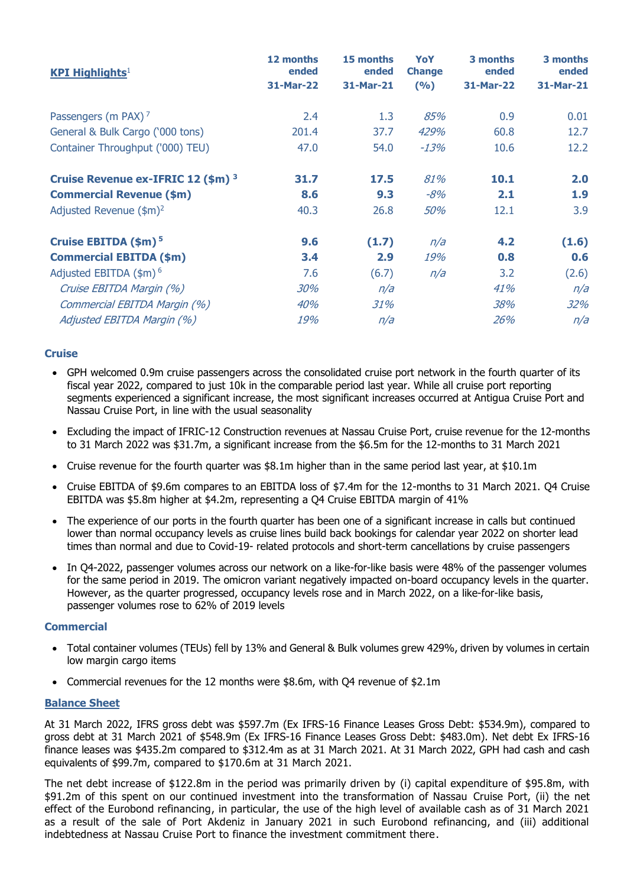| <b>KPI Highlights</b> <sup>1</sup>            | 12 months<br>ended<br>31-Mar-22 | 15 months<br>ended<br>31-Mar-21 | YoY<br><b>Change</b><br>(9/6) | 3 months<br>ended<br>31-Mar-22 | 3 months<br>ended<br>31-Mar-21 |
|-----------------------------------------------|---------------------------------|---------------------------------|-------------------------------|--------------------------------|--------------------------------|
|                                               |                                 |                                 |                               |                                |                                |
| General & Bulk Cargo ('000 tons)              | 201.4                           | 37.7                            | 429%                          | 60.8                           | 12.7                           |
| Container Throughput ('000) TEU)              | 47.0                            | 54.0                            | $-13%$                        | 10.6                           | 12.2                           |
| Cruise Revenue ex-IFRIC 12 (\$m) <sup>3</sup> | 31.7                            | 17.5                            | 81%                           | 10.1                           | 2.0                            |
| <b>Commercial Revenue (\$m)</b>               | 8.6                             | 9.3                             | $-8%$                         | 2.1                            | 1.9                            |
| Adjusted Revenue $(\$m)^2$                    | 40.3                            | 26.8                            | 50%                           | 12.1                           | 3.9                            |
| Cruise EBITDA (\$m) <sup>5</sup>              | 9.6                             | (1.7)                           | n/a                           | 4.2                            | (1.6)                          |
| <b>Commercial EBITDA (\$m)</b>                | 3.4                             | 2.9                             | 19%                           | 0.8                            | 0.6                            |
| Adjusted EBITDA $(\$m)$ <sup>6</sup>          | 7.6                             | (6.7)                           | n/a                           | 3.2                            | (2.6)                          |
| Cruise EBITDA Margin (%)                      | 30%                             | n/a                             |                               | 41%                            | n/a                            |
| Commercial EBITDA Margin (%)                  | 40%                             | 31%                             |                               | 38%                            | 32%                            |
| Adjusted EBITDA Margin (%)                    | 19%                             | n/a                             |                               | 26%                            | n/a                            |

### **Cruise**

- GPH welcomed 0.9m cruise passengers across the consolidated cruise port network in the fourth quarter of its fiscal year 2022, compared to just 10k in the comparable period last year. While all cruise port reporting segments experienced a significant increase, the most significant increases occurred at Antigua Cruise Port and Nassau Cruise Port, in line with the usual seasonality
- Excluding the impact of IFRIC-12 Construction revenues at Nassau Cruise Port, cruise revenue for the 12-months to 31 March 2022 was \$31.7m, a significant increase from the \$6.5m for the 12-months to 31 March 2021
- Cruise revenue for the fourth quarter was \$8.1m higher than in the same period last year, at \$10.1m
- Cruise EBITDA of \$9.6m compares to an EBITDA loss of \$7.4m for the 12-months to 31 March 2021. Q4 Cruise EBITDA was \$5.8m higher at \$4.2m, representing a Q4 Cruise EBITDA margin of 41%
- The experience of our ports in the fourth quarter has been one of a significant increase in calls but continued lower than normal occupancy levels as cruise lines build back bookings for calendar year 2022 on shorter lead times than normal and due to Covid-19- related protocols and short-term cancellations by cruise passengers
- In Q4-2022, passenger volumes across our network on a like-for-like basis were 48% of the passenger volumes for the same period in 2019. The omicron variant negatively impacted on-board occupancy levels in the quarter. However, as the quarter progressed, occupancy levels rose and in March 2022, on a like-for-like basis, passenger volumes rose to 62% of 2019 levels

#### **Commercial**

- Total container volumes (TEUs) fell by 13% and General & Bulk volumes grew 429%, driven by volumes in certain low margin cargo items
- Commercial revenues for the 12 months were \$8.6m, with Q4 revenue of \$2.1m

#### **Balance Sheet**

At 31 March 2022, IFRS gross debt was \$597.7m (Ex IFRS-16 Finance Leases Gross Debt: \$534.9m), compared to gross debt at 31 March 2021 of \$548.9m (Ex IFRS-16 Finance Leases Gross Debt: \$483.0m). Net debt Ex IFRS-16 finance leases was \$435.2m compared to \$312.4m as at 31 March 2021. At 31 March 2022, GPH had cash and cash equivalents of \$99.7m, compared to \$170.6m at 31 March 2021.

The net debt increase of \$122.8m in the period was primarily driven by (i) capital expenditure of \$95.8m, with \$91.2m of this spent on our continued investment into the transformation of Nassau Cruise Port, (ii) the net effect of the Eurobond refinancing, in particular, the use of the high level of available cash as of 31 March 2021 as a result of the sale of Port Akdeniz in January 2021 in such Eurobond refinancing, and (iii) additional indebtedness at Nassau Cruise Port to finance the investment commitment there.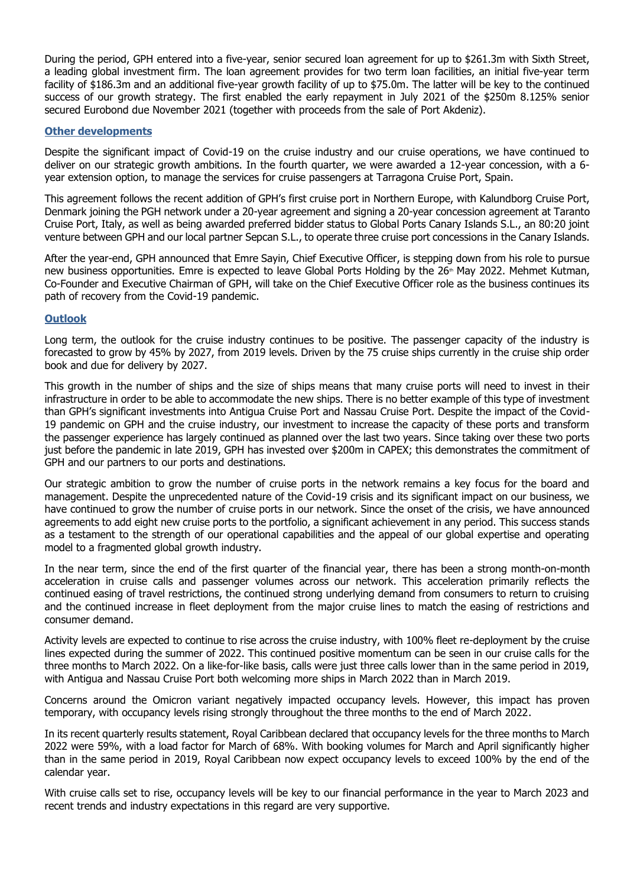During the period, GPH entered into a five-year, senior secured loan agreement for up to \$261.3m with Sixth Street, a leading global investment firm. The loan agreement provides for two term loan facilities, an initial five-year term facility of \$186.3m and an additional five-year growth facility of up to \$75.0m. The latter will be key to the continued success of our growth strategy. The first enabled the early repayment in July 2021 of the \$250m 8.125% senior secured Eurobond due November 2021 (together with proceeds from the sale of Port Akdeniz).

#### **Other developments**

Despite the significant impact of Covid-19 on the cruise industry and our cruise operations, we have continued to deliver on our strategic growth ambitions. In the fourth quarter, we were awarded a 12-year concession, with a 6 year extension option, to manage the services for cruise passengers at Tarragona Cruise Port, Spain.

This agreement follows the recent addition of GPH's first cruise port in Northern Europe, with Kalundborg Cruise Port, Denmark joining the PGH network under a 20-year agreement and signing a 20-year concession agreement at Taranto Cruise Port, Italy, as well as being awarded preferred bidder status to Global Ports Canary Islands S.L., an 80:20 joint venture between GPH and our local partner Sepcan S.L., to operate three cruise port concessions in the Canary Islands.

After the year-end, GPH announced that Emre Sayin, Chief Executive Officer, is stepping down from his role to pursue new business opportunities. Emre is expected to leave Global Ports Holding by the 26<sup>th</sup> May 2022. Mehmet Kutman, Co-Founder and Executive Chairman of GPH, will take on the Chief Executive Officer role as the business continues its path of recovery from the Covid-19 pandemic.

#### **Outlook**

Long term, the outlook for the cruise industry continues to be positive. The passenger capacity of the industry is forecasted to grow by 45% by 2027, from 2019 levels. Driven by the 75 cruise ships currently in the cruise ship order book and due for delivery by 2027.

This growth in the number of ships and the size of ships means that many cruise ports will need to invest in their infrastructure in order to be able to accommodate the new ships. There is no better example of this type of investment than GPH's significant investments into Antigua Cruise Port and Nassau Cruise Port. Despite the impact of the Covid-19 pandemic on GPH and the cruise industry, our investment to increase the capacity of these ports and transform the passenger experience has largely continued as planned over the last two years. Since taking over these two ports just before the pandemic in late 2019, GPH has invested over \$200m in CAPEX; this demonstrates the commitment of GPH and our partners to our ports and destinations.

Our strategic ambition to grow the number of cruise ports in the network remains a key focus for the board and management. Despite the unprecedented nature of the Covid-19 crisis and its significant impact on our business, we have continued to grow the number of cruise ports in our network. Since the onset of the crisis, we have announced agreements to add eight new cruise ports to the portfolio, a significant achievement in any period. This success stands as a testament to the strength of our operational capabilities and the appeal of our global expertise and operating model to a fragmented global growth industry.

In the near term, since the end of the first quarter of the financial year, there has been a strong month-on-month acceleration in cruise calls and passenger volumes across our network. This acceleration primarily reflects the continued easing of travel restrictions, the continued strong underlying demand from consumers to return to cruising and the continued increase in fleet deployment from the major cruise lines to match the easing of restrictions and consumer demand.

Activity levels are expected to continue to rise across the cruise industry, with 100% fleet re-deployment by the cruise lines expected during the summer of 2022. This continued positive momentum can be seen in our cruise calls for the three months to March 2022. On a like-for-like basis, calls were just three calls lower than in the same period in 2019, with Antigua and Nassau Cruise Port both welcoming more ships in March 2022 than in March 2019.

Concerns around the Omicron variant negatively impacted occupancy levels. However, this impact has proven temporary, with occupancy levels rising strongly throughout the three months to the end of March 2022.

In its recent quarterly results statement, Royal Caribbean declared that occupancy levels for the three months to March 2022 were 59%, with a load factor for March of 68%. With booking volumes for March and April significantly higher than in the same period in 2019, Royal Caribbean now expect occupancy levels to exceed 100% by the end of the calendar year.

With cruise calls set to rise, occupancy levels will be key to our financial performance in the year to March 2023 and recent trends and industry expectations in this regard are very supportive.